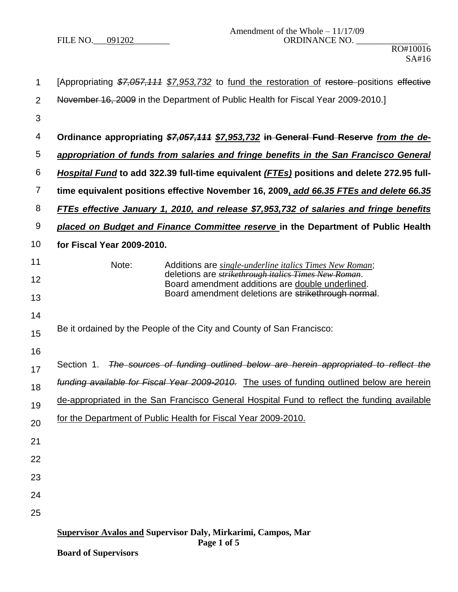| 1              | [Appropriating \$7,057,111 \$7,953,732 to fund the restoration of restore positions effective                    |  |  |  |
|----------------|------------------------------------------------------------------------------------------------------------------|--|--|--|
| $\overline{2}$ | November 16, 2009 in the Department of Public Health for Fiscal Year 2009-2010.                                  |  |  |  |
| 3              |                                                                                                                  |  |  |  |
| 4              | Ordinance appropriating \$7,057,111 \$7,953,732 in General Fund Reserve from the de-                             |  |  |  |
| 5              | appropriation of funds from salaries and fringe benefits in the San Francisco General                            |  |  |  |
| 6              | Hospital Fund to add 322.39 full-time equivalent (FTEs) positions and delete 272.95 full-                        |  |  |  |
| 7              | time equivalent positions effective November 16, 2009, add 66.35 FTEs and delete 66.35                           |  |  |  |
| 8              | <b>FTEs effective January 1, 2010, and release \$7,953,732 of salaries and fringe benefits</b>                   |  |  |  |
| 9              | placed on Budget and Finance Committee reserve in the Department of Public Health                                |  |  |  |
| 10             | for Fiscal Year 2009-2010.                                                                                       |  |  |  |
| 11             | Note:<br>Additions are <i>single-underline italics Times New Roman</i> ;                                         |  |  |  |
| 12             | deletions are <i>strikethrough italics Times New Roman</i> .<br>Board amendment additions are double underlined. |  |  |  |
| 13             | Board amendment deletions are strikethrough normal.                                                              |  |  |  |
| 14             |                                                                                                                  |  |  |  |
| 15             | Be it ordained by the People of the City and County of San Francisco:                                            |  |  |  |
| 16             | Section 1. The sources of funding outlined below are herein appropriated to reflect the                          |  |  |  |
| 17             | funding available for Fiscal Year 2009-2010. The uses of funding outlined below are herein                       |  |  |  |
| 18             | de-appropriated in the San Francisco General Hospital Fund to reflect the funding available                      |  |  |  |
| 19             | for the Department of Public Health for Fiscal Year 2009-2010.                                                   |  |  |  |
| 20             |                                                                                                                  |  |  |  |
| 21             |                                                                                                                  |  |  |  |
| 22             |                                                                                                                  |  |  |  |
| 23             |                                                                                                                  |  |  |  |
| 24             |                                                                                                                  |  |  |  |
| 25             |                                                                                                                  |  |  |  |
|                | <b>Supervisor Avalos and Supervisor Daly, Mirkarimi, Campos, Mar</b><br>Page 1 of 5                              |  |  |  |
|                | <b>Board of Supervisors</b>                                                                                      |  |  |  |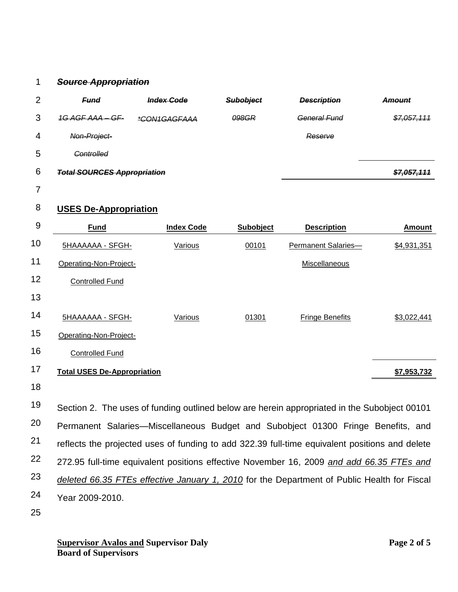## 1 *Source Appropriation*

| 2 | <b>Fund</b>                        | <b>Index Code</b> | <b>Subobject</b> | <b>Description</b>  | <b>Amount</b> |
|---|------------------------------------|-------------------|------------------|---------------------|---------------|
| 3 | 1G AGF AAA – GF-                   | *CON1GAGFAAA      | 098GR            | <b>General Fund</b> | \$7,057,111   |
| 4 | Non-Project-                       |                   |                  | Reserve             |               |
| 5 | <b>Controlled</b>                  |                   |                  |                     |               |
| 6 | <b>Total SOURCES Appropriation</b> |                   |                  |                     | \$7,057,111   |

7

## 8 **USES De-Appropriation**

| 9              | <b>Fund</b>                        | <b>Index Code</b> | Subobject                                                                                                                                                                                                                        | <b>Description</b>     | <b>Amount</b>                                |
|----------------|------------------------------------|-------------------|----------------------------------------------------------------------------------------------------------------------------------------------------------------------------------------------------------------------------------|------------------------|----------------------------------------------|
| 10             | 5HAAAAAA - SFGH-                   | Various           | 00101                                                                                                                                                                                                                            | Permanent Salaries-    | \$4,931,351                                  |
| 11             | Operating-Non-Project-             |                   |                                                                                                                                                                                                                                  | Miscellaneous          |                                              |
| 12             | <b>Controlled Fund</b>             |                   |                                                                                                                                                                                                                                  |                        |                                              |
| 13             |                                    |                   |                                                                                                                                                                                                                                  |                        |                                              |
| 14             | 5HAAAAAA - SFGH-                   | Various           | 01301                                                                                                                                                                                                                            | <b>Fringe Benefits</b> | \$3,022,441                                  |
| 15             | Operating-Non-Project-             |                   |                                                                                                                                                                                                                                  |                        |                                              |
| 16             | <b>Controlled Fund</b>             |                   |                                                                                                                                                                                                                                  |                        |                                              |
| 17             | <b>Total USES De-Appropriation</b> |                   |                                                                                                                                                                                                                                  |                        | \$7,953,732                                  |
| 18             |                                    |                   |                                                                                                                                                                                                                                  |                        |                                              |
| 1 <sub>O</sub> | $\sim$ $\sim$ $\sim$ $\sim$        |                   | $\mathbf{z}$ , and the set of the set of the set of the set of the set of the set of the set of the set of the set of the set of the set of the set of the set of the set of the set of the set of the set of the set of the set |                        | $\cdots$ $\cdots$ $\alpha$ $\cdots$ $\alpha$ |

19 20 21 22 23 24 Section 2. The uses of funding outlined below are herein appropriated in the Subobject 00101 Permanent Salaries—Miscellaneous Budget and Subobject 01300 Fringe Benefits, and reflects the projected uses of funding to add 322.39 full-time equivalent positions and delete 272.95 full-time equivalent positions effective November 16, 2009 *and add 66.35 FTEs and deleted 66.35 FTEs effective January 1, 2010* for the Department of Public Health for Fiscal Year 2009-2010.

25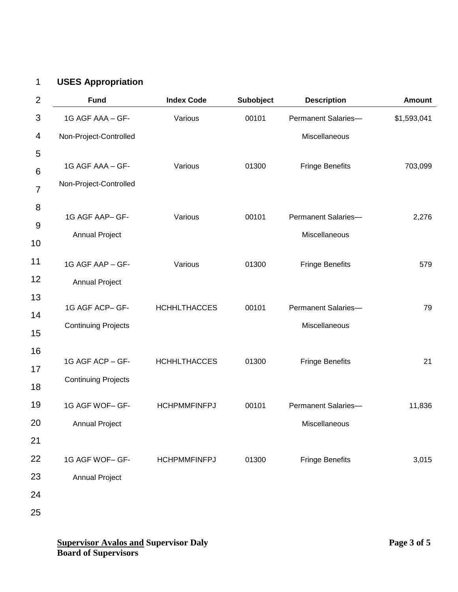## 1 **USES Appropriation**

| $\overline{2}$ | <b>Fund</b>                | <b>Index Code</b>   | Subobject | <b>Description</b>     | <b>Amount</b> |
|----------------|----------------------------|---------------------|-----------|------------------------|---------------|
| 3              | 1G AGF AAA - GF-           | Various             | 00101     | Permanent Salaries-    | \$1,593,041   |
| 4              | Non-Project-Controlled     |                     |           | Miscellaneous          |               |
| 5              |                            |                     |           |                        |               |
| 6              | 1G AGF AAA - GF-           | Various             | 01300     | <b>Fringe Benefits</b> | 703,099       |
| $\overline{7}$ | Non-Project-Controlled     |                     |           |                        |               |
| 8              | 1G AGF AAP- GF-            | Various             | 00101     | Permanent Salaries-    | 2,276         |
| 9              |                            |                     |           |                        |               |
| 10             | <b>Annual Project</b>      |                     |           | Miscellaneous          |               |
| 11             | 1G AGF AAP - GF-           | Various             | 01300     | <b>Fringe Benefits</b> | 579           |
| 12             | <b>Annual Project</b>      |                     |           |                        |               |
| 13             | 1G AGF ACP- GF-            | <b>HCHHLTHACCES</b> | 00101     | Permanent Salaries-    | 79            |
| 14             |                            |                     |           |                        |               |
| 15             | <b>Continuing Projects</b> |                     |           | Miscellaneous          |               |
| 16             |                            |                     |           |                        |               |
| 17             | 1G AGF ACP - GF-           | <b>HCHHLTHACCES</b> | 01300     | <b>Fringe Benefits</b> | 21            |
| 18             | <b>Continuing Projects</b> |                     |           |                        |               |
| 19             | 1G AGF WOF- GF-            | <b>HCHPMMFINFPJ</b> | 00101     | Permanent Salaries-    | 11,836        |
| 20             | <b>Annual Project</b>      |                     |           | Miscellaneous          |               |
| 21             |                            |                     |           |                        |               |
| 22             | 1G AGF WOF- GF-            | <b>HCHPMMFINFPJ</b> | 01300     | <b>Fringe Benefits</b> | 3,015         |
| 23             | <b>Annual Project</b>      |                     |           |                        |               |
| 24             |                            |                     |           |                        |               |
| 25             |                            |                     |           |                        |               |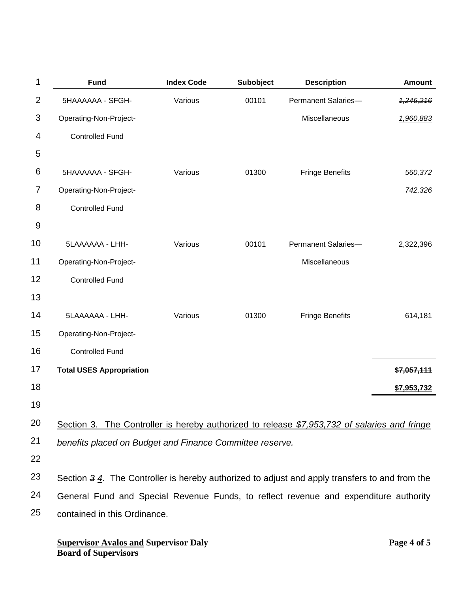| 1              | <b>Fund</b>                                                                                                | <b>Index Code</b> | Subobject | <b>Description</b>     | <b>Amount</b> |
|----------------|------------------------------------------------------------------------------------------------------------|-------------------|-----------|------------------------|---------------|
| $\overline{2}$ | 5HAAAAAA - SFGH-                                                                                           | Various           | 00101     | Permanent Salaries-    | 4,246,216     |
| 3              | Operating-Non-Project-                                                                                     |                   |           | Miscellaneous          | 1,960,883     |
| 4              | <b>Controlled Fund</b>                                                                                     |                   |           |                        |               |
| 5              |                                                                                                            |                   |           |                        |               |
| 6              | 5HAAAAAA - SFGH-                                                                                           | Various           | 01300     | <b>Fringe Benefits</b> | 560,372       |
| 7              | Operating-Non-Project-                                                                                     |                   |           |                        | 742,326       |
| 8              | <b>Controlled Fund</b>                                                                                     |                   |           |                        |               |
| 9              |                                                                                                            |                   |           |                        |               |
| 10             | 5LAAAAAA - LHH-                                                                                            | Various           | 00101     | Permanent Salaries-    | 2,322,396     |
| 11             | Operating-Non-Project-                                                                                     |                   |           | Miscellaneous          |               |
| 12             | <b>Controlled Fund</b>                                                                                     |                   |           |                        |               |
| 13             |                                                                                                            |                   |           |                        |               |
| 14             | 5LAAAAAA - LHH-                                                                                            | Various           | 01300     | <b>Fringe Benefits</b> | 614,181       |
| 15             | Operating-Non-Project-                                                                                     |                   |           |                        |               |
| 16             | <b>Controlled Fund</b>                                                                                     |                   |           |                        |               |
| 17             | <b>Total USES Appropriation</b>                                                                            |                   |           |                        | \$7,057,111   |
| 18             |                                                                                                            |                   |           |                        | \$7,953,732   |
| 19             |                                                                                                            |                   |           |                        |               |
| 20             | Section 3. The Controller is hereby authorized to release \$7,953,732 of salaries and fringe               |                   |           |                        |               |
| 21             | benefits placed on Budget and Finance Committee reserve.                                                   |                   |           |                        |               |
| 22             |                                                                                                            |                   |           |                        |               |
| 23             | Section $3\frac{4}{1}$ . The Controller is hereby authorized to adjust and apply transfers to and from the |                   |           |                        |               |
| 24             | General Fund and Special Revenue Funds, to reflect revenue and expenditure authority                       |                   |           |                        |               |
| 25             | contained in this Ordinance.                                                                               |                   |           |                        |               |